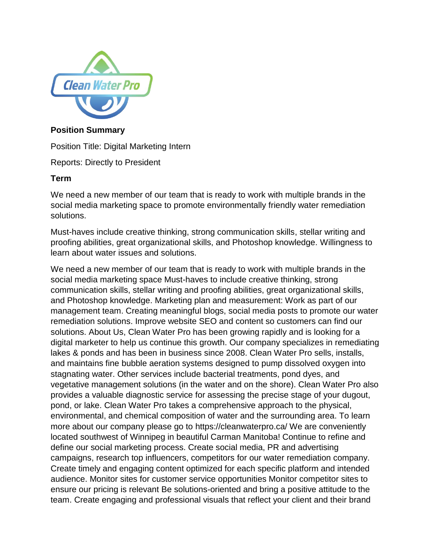

#### **Position Summary**

Position Title: Digital Marketing Intern

Reports: Directly to President

#### **Term**

We need a new member of our team that is ready to work with multiple brands in the social media marketing space to promote environmentally friendly water remediation solutions.

Must-haves include creative thinking, strong communication skills, stellar writing and proofing abilities, great organizational skills, and Photoshop knowledge. Willingness to learn about water issues and solutions.

We need a new member of our team that is ready to work with multiple brands in the social media marketing space Must-haves to include creative thinking, strong communication skills, stellar writing and proofing abilities, great organizational skills, and Photoshop knowledge. Marketing plan and measurement: Work as part of our management team. Creating meaningful blogs, social media posts to promote our water remediation solutions. Improve website SEO and content so customers can find our solutions. About Us, Clean Water Pro has been growing rapidly and is looking for a digital marketer to help us continue this growth. Our company specializes in remediating lakes & ponds and has been in business since 2008. Clean Water Pro sells, installs, and maintains fine bubble aeration systems designed to pump dissolved oxygen into stagnating water. Other services include bacterial treatments, pond dyes, and vegetative management solutions (in the water and on the shore). Clean Water Pro also provides a valuable diagnostic service for assessing the precise stage of your dugout, pond, or lake. Clean Water Pro takes a comprehensive approach to the physical, environmental, and chemical composition of water and the surrounding area. To learn more about our company please go to https://cleanwaterpro.ca/ We are conveniently located southwest of Winnipeg in beautiful Carman Manitoba! Continue to refine and define our social marketing process. Create social media, PR and advertising campaigns, research top influencers, competitors for our water remediation company. Create timely and engaging content optimized for each specific platform and intended audience. Monitor sites for customer service opportunities Monitor competitor sites to ensure our pricing is relevant Be solutions-oriented and bring a positive attitude to the team. Create engaging and professional visuals that reflect your client and their brand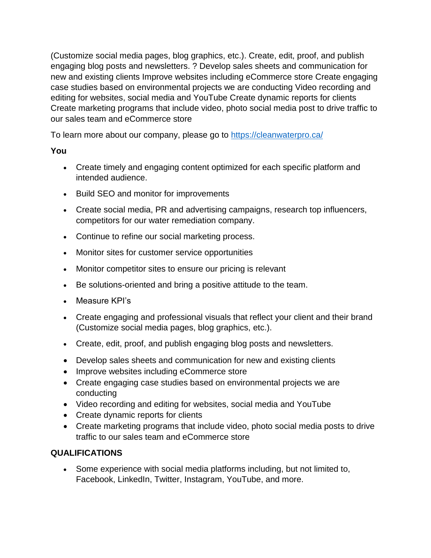(Customize social media pages, blog graphics, etc.). Create, edit, proof, and publish engaging blog posts and newsletters. ? Develop sales sheets and communication for new and existing clients Improve websites including eCommerce store Create engaging case studies based on environmental projects we are conducting Video recording and editing for websites, social media and YouTube Create dynamic reports for clients Create marketing programs that include video, photo social media post to drive traffic to our sales team and eCommerce store

To learn more about our company, please go to<https://cleanwaterpro.ca/>

# **You**

- Create timely and engaging content optimized for each specific platform and intended audience.
- Build SEO and monitor for improvements
- Create social media, PR and advertising campaigns, research top influencers, competitors for our water remediation company.
- Continue to refine our social marketing process.
- Monitor sites for customer service opportunities
- Monitor competitor sites to ensure our pricing is relevant
- Be solutions-oriented and bring a positive attitude to the team.
- Measure KPI's
- Create engaging and professional visuals that reflect your client and their brand (Customize social media pages, blog graphics, etc.).
- Create, edit, proof, and publish engaging blog posts and newsletters.
- Develop sales sheets and communication for new and existing clients
- Improve websites including eCommerce store
- Create engaging case studies based on environmental projects we are conducting
- Video recording and editing for websites, social media and YouTube
- Create dynamic reports for clients
- Create marketing programs that include video, photo social media posts to drive traffic to our sales team and eCommerce store

# **QUALIFICATIONS**

• Some experience with social media platforms including, but not limited to, Facebook, LinkedIn, Twitter, Instagram, YouTube, and more.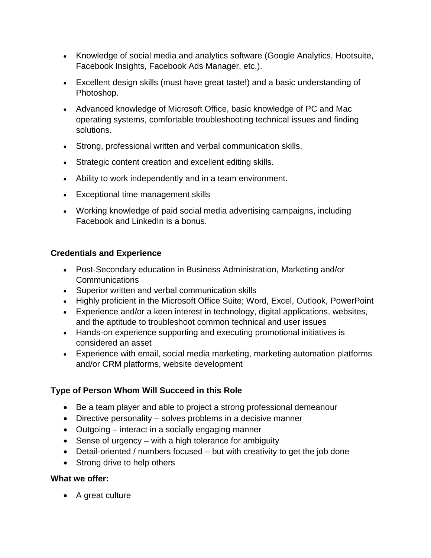- Knowledge of social media and analytics software (Google Analytics, Hootsuite, Facebook Insights, Facebook Ads Manager, etc.).
- Excellent design skills (must have great taste!) and a basic understanding of Photoshop.
- Advanced knowledge of Microsoft Office, basic knowledge of PC and Mac operating systems, comfortable troubleshooting technical issues and finding solutions.
- Strong, professional written and verbal communication skills.
- Strategic content creation and excellent editing skills.
- Ability to work independently and in a team environment.
- Exceptional time management skills
- Working knowledge of paid social media advertising campaigns, including Facebook and LinkedIn is a bonus.

## **Credentials and Experience**

- Post-Secondary education in Business Administration, Marketing and/or **Communications**
- Superior written and verbal communication skills
- Highly proficient in the Microsoft Office Suite; Word, Excel, Outlook, PowerPoint
- Experience and/or a keen interest in technology, digital applications, websites, and the aptitude to troubleshoot common technical and user issues
- Hands-on experience supporting and executing promotional initiatives is considered an asset
- Experience with email, social media marketing, marketing automation platforms and/or CRM platforms, website development

## **Type of Person Whom Will Succeed in this Role**

- Be a team player and able to project a strong professional demeanour
- Directive personality solves problems in a decisive manner
- Outgoing interact in a socially engaging manner
- Sense of urgency with a high tolerance for ambiguity
- Detail-oriented / numbers focused but with creativity to get the job done
- Strong drive to help others

## **What we offer:**

• A great culture